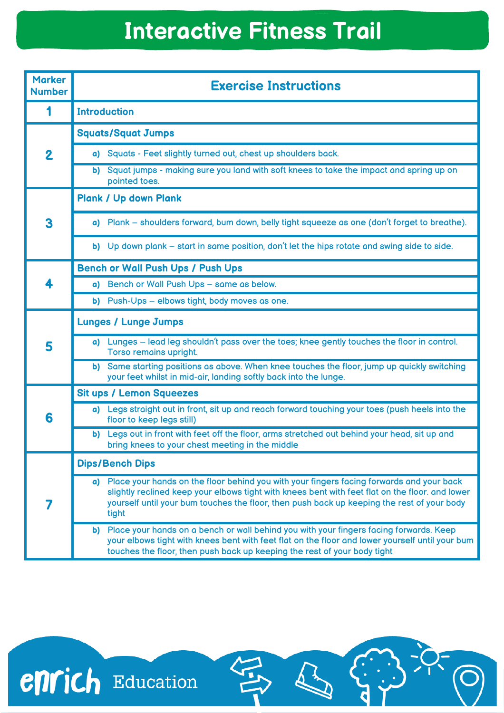## **Interactive Fitness Trail**

| <b>Marker</b><br><b>Number</b> | <b>Exercise Instructions</b>                                                                                                                                                                                                                                                                          |
|--------------------------------|-------------------------------------------------------------------------------------------------------------------------------------------------------------------------------------------------------------------------------------------------------------------------------------------------------|
|                                | <b>Introduction</b>                                                                                                                                                                                                                                                                                   |
| $\overline{\mathbf{2}}$        | <b>Squats/Squat Jumps</b>                                                                                                                                                                                                                                                                             |
|                                | a) Squats - Feet slightly turned out, chest up shoulders back.                                                                                                                                                                                                                                        |
|                                | Squat jumps - making sure you land with soft knees to take the impact and spring up on<br>b)<br>pointed toes.                                                                                                                                                                                         |
| 3                              | <b>Plank / Up down Plank</b>                                                                                                                                                                                                                                                                          |
|                                | a) Plank – shoulders forward, bum down, belly tight squeeze as one (don't forget to breathe).                                                                                                                                                                                                         |
|                                | b) Up down plank – start in same position, don't let the hips rotate and swing side to side.                                                                                                                                                                                                          |
|                                | <b>Bench or Wall Push Ups / Push Ups</b>                                                                                                                                                                                                                                                              |
|                                | a) Bench or Wall Push Ups - same as below.                                                                                                                                                                                                                                                            |
|                                | b) Push-Ups - elbows tight, body moves as one.                                                                                                                                                                                                                                                        |
| 5                              | <b>Lunges / Lunge Jumps</b>                                                                                                                                                                                                                                                                           |
|                                | a) Lunges - lead leg shouldn't pass over the toes; knee gently touches the floor in control.<br>Torso remains upright.                                                                                                                                                                                |
|                                | Same starting positions as above. When knee touches the floor, jump up quickly switching<br>b)<br>your feet whilst in mid-air, landing softly back into the lunge.                                                                                                                                    |
|                                | <b>Sit ups / Lemon Squeezes</b>                                                                                                                                                                                                                                                                       |
| 6                              | a) Legs straight out in front, sit up and reach forward touching your toes (push heels into the<br>floor to keep legs still)                                                                                                                                                                          |
|                                | Legs out in front with feet off the floor, arms stretched out behind your head, sit up and<br>b)<br>bring knees to your chest meeting in the middle                                                                                                                                                   |
|                                | <b>Dips/Bench Dips</b>                                                                                                                                                                                                                                                                                |
|                                | a) Place your hands on the floor behind you with your fingers facing forwards and your back<br>slightly reclined keep your elbows tight with knees bent with feet flat on the floor. and lower<br>yourself until your bum touches the floor, then push back up keeping the rest of your body<br>tight |
|                                | Place your hands on a bench or wall behind you with your fingers facing forwards. Keep<br>b)<br>your elbows tight with knees bent with feet flat on the floor and lower yourself until your bum<br>touches the floor, then push back up keeping the rest of your body tight                           |

 $\left(\begin{smallmatrix} 0 & 0 \\ 0 & 0 \end{smallmatrix}\right)$ 

 $\overline{\mathbf{C}}$